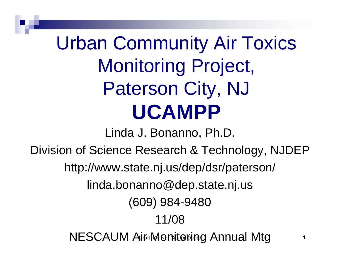# Urban Community Air Toxics Monitoring Project, Paterson City, NJ **UCAMPP**

Linda J. Bonanno, Ph.D.

Division of Science Research & Technology, NJDEPhttp://www.state.nj.us/dep/dsr/paterson/

linda.bonanno@dep.state.nj.us

(609) 984-9480

11/08

Draft: Do Not Cite or Quote <sup>1</sup>NESCAUM Air Monitoring Annual Mtg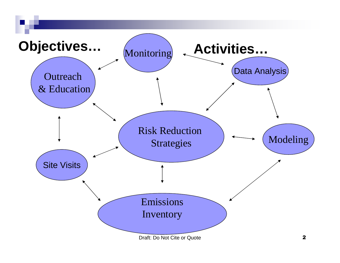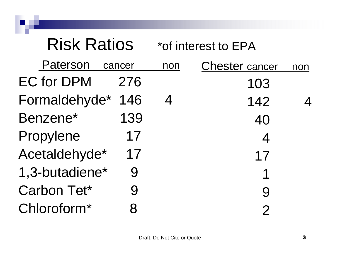| <b>Risk Ratios</b> |        | *of interest to EPA |                          |     |  |
|--------------------|--------|---------------------|--------------------------|-----|--|
| Paterson           | cancer | non                 | <b>Chester cancer</b>    | non |  |
| <b>EC for DPM</b>  | 276    |                     | 103                      |     |  |
| Formaldehyde*      | 146    | $\overline{4}$      | 142                      |     |  |
| Benzene*           | 139    |                     | 40                       |     |  |
| Propylene          | 17     |                     |                          |     |  |
| Acetaldehyde*      | 17     |                     | 17                       |     |  |
| 1,3-butadiene*     | 9      |                     | $\overline{\mathcal{L}}$ |     |  |
| Carbon Tet*        | 9      |                     |                          |     |  |
| Chloroform*        |        |                     |                          |     |  |

.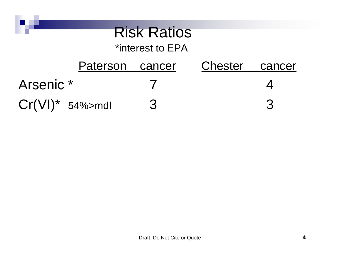|                    | <b>Risk Ratios</b><br>*interest to EPA |                |        |
|--------------------|----------------------------------------|----------------|--------|
| Paterson cancer    |                                        | <b>Chester</b> | cancer |
| Arsenic *          |                                        |                |        |
| $Cr(VI)^*$ 54%>mdl | 3                                      |                |        |

**COLLEGE**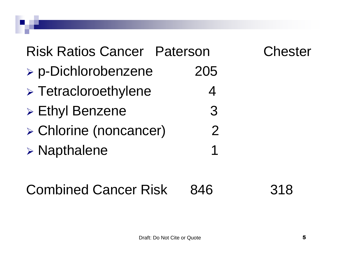| <b>Risk Ratios Cancer Paterson</b> |  |  |  |  |
|------------------------------------|--|--|--|--|
| 205                                |  |  |  |  |
|                                    |  |  |  |  |
| 3                                  |  |  |  |  |
| $\mathcal{P}$                      |  |  |  |  |
| 1                                  |  |  |  |  |
|                                    |  |  |  |  |

Combined Cancer Risk 846 318

Chester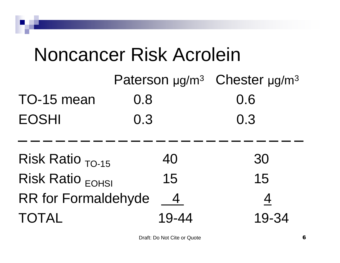| Noncancer Risk Acrolein     |                                                      |       |  |  |  |
|-----------------------------|------------------------------------------------------|-------|--|--|--|
|                             | Paterson µg/m <sup>3</sup> Chester µg/m <sup>3</sup> |       |  |  |  |
| TO-15 mean                  | 0.8                                                  | 0.6   |  |  |  |
| <b>EOSHI</b>                | 0.3                                                  | 0.3   |  |  |  |
| Risk Ratio $_{TO-15}$       | 40                                                   | 30    |  |  |  |
| Risk Ratio <sub>EOHSI</sub> | 15                                                   | 15    |  |  |  |
| <b>RR for Formaldehyde</b>  | 4                                                    | 4     |  |  |  |
| <b>TOTAL</b>                | 19-44                                                | 19-34 |  |  |  |

v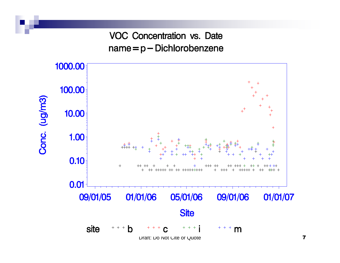#### VOC Concentration vs. Date  $name = p - Dichlorobenzene$

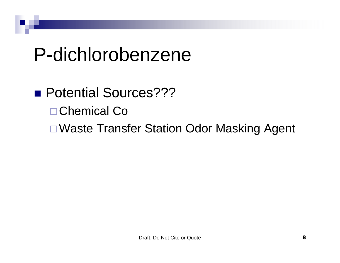### P-dichlorobenzene

### $\mathcal{L}_{\mathcal{A}}$ ■ Potential Sources??? □ Chemical Co **□ Waste Transfer Station Odor Masking Agent**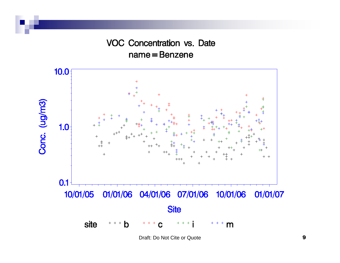#### VOC Concentration vs. Date  $name = \text{Benzene}$

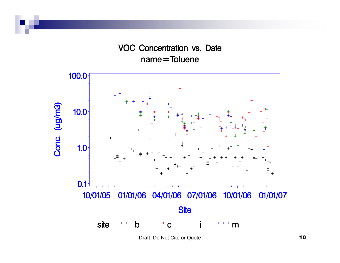#### VOC Concentration vs. Date  $name = Toluene$

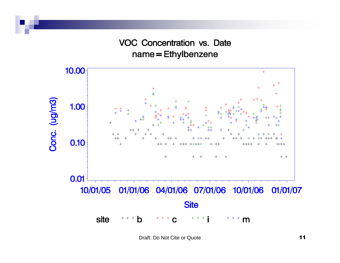#### VOC Concentration vs. Date name = Ethylbenzene



Draft: Do Not Cite or Quote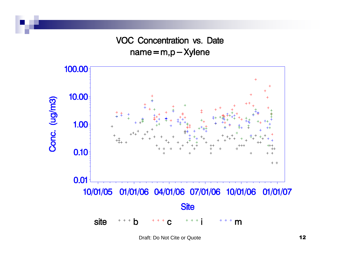#### VOC Concentration vs. Date  $name = m, p - Xylene$



Draft: Do Not Cite or Quote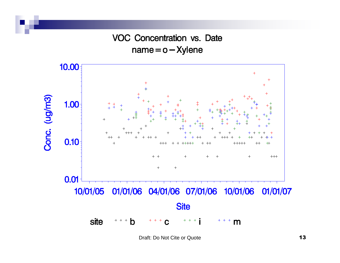#### VOC Concentration vs. Date  $name = o - Xylene$



Draft: Do Not Cite or Quote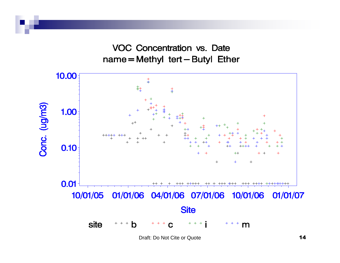VOC Concentration vs. Date name = Methyl tert - Butyl Ether

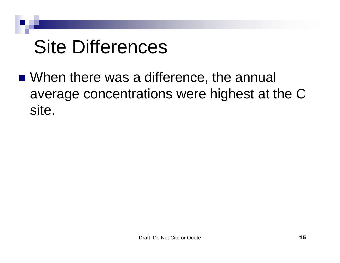## Site Differences

■ When there was a difference, the annual average concentrations were highest at the C site.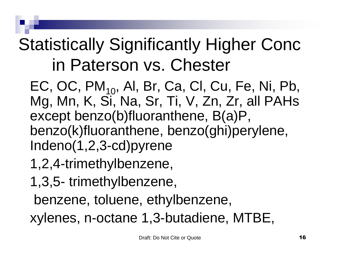### Statistically Significantly Higher Conc in Paterson vs. Chester

- EC, OC,  $PM_{10}$ , Al, Br, Ca, Cl, Cu, Fe, Ni, Pb, Mg, Mn, K, Si, Na, Sr, Ti, V, Zn, Zr, all PAHs except benzo(b)fluoranthene, B(a)P, benzo(k)fluoranthene, benzo(ghi)perylene, Indeno(1,2,3-cd)pyrene
- 1,2,4-trimethylbenzene,
- 1,3,5- trimethylbenzene,
- benzene, toluene, ethylbenzene,

xylenes, n-octane 1,3-butadiene, MTBE,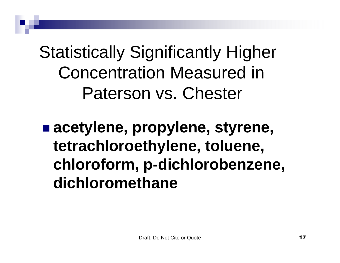Statistically Significantly Higher Concentration Measured in Paterson vs. Chester

 $\mathcal{L}_{\mathcal{A}}$ ■ acetylene, propylene, styrene, **tetrachloroethylene, toluene, chloroform, p-dichlorobenzene, dichloromethane**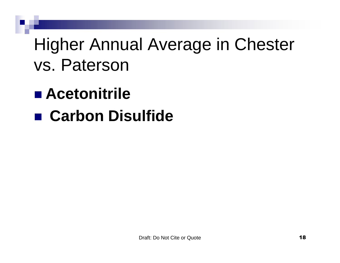### Higher Annual Average in Chester vs. Paterson

#### $\mathcal{L}_{\mathcal{A}}$ **Acetonitrile**

 $\mathcal{L}_{\mathcal{A}}$ **Carbon Disulfide**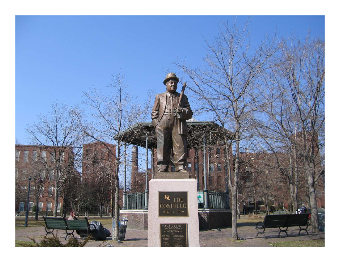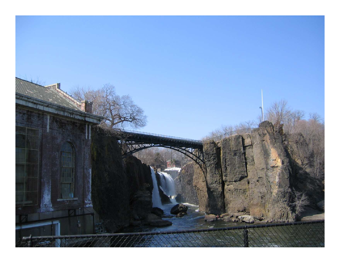